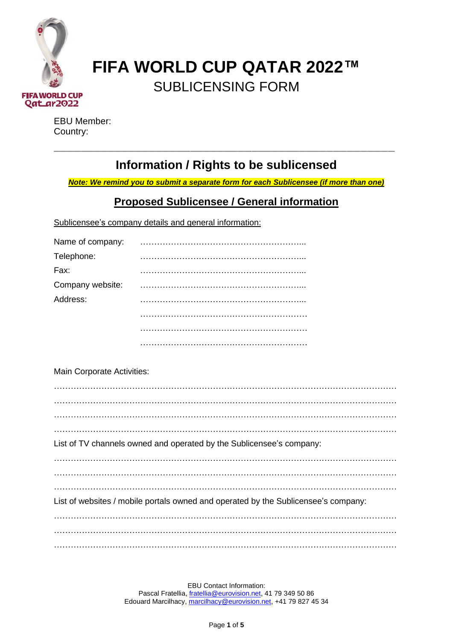

# **FIFA WORLD CUP QATAR 2022™** SUBLICENSING FORM

EBU Member: Country:

## **Information / Rights to be sublicensed**

\_\_\_\_\_\_\_\_\_\_\_\_\_\_\_\_\_\_\_\_\_\_\_\_\_\_\_\_\_\_\_\_\_\_\_\_\_\_\_\_\_\_\_\_\_\_\_\_\_\_

*Note: We remind you to submit a separate form for each Sublicensee (if more than one)*

### **Proposed Sublicensee / General information**

Sublicensee's company details and general information:

| Name of company: |  |
|------------------|--|
| Telephone:       |  |
| Fax:             |  |
| Company website: |  |
| Address:         |  |
|                  |  |
|                  |  |
|                  |  |

Main Corporate Activities:

| List of TV channels owned and operated by the Sublicensee's company:               |
|------------------------------------------------------------------------------------|
|                                                                                    |
|                                                                                    |
|                                                                                    |
| List of websites / mobile portals owned and operated by the Sublicensee's company: |
|                                                                                    |
|                                                                                    |
|                                                                                    |

EBU Contact Information: Pascal Fratellia, [fratellia@eurovision.net,](mailto:fratellia@eurovision.net) 41 79 349 50 86 Edouard Marcilhacy, [marcilhacy@eurovision.net,](mailto:aristodemou@eurovision.net) +41 79 827 45 34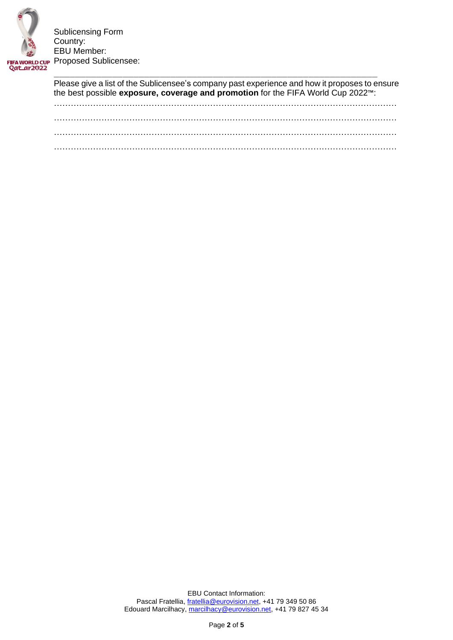

Please give a list of the Sublicensee's company past experience and how it proposes to ensure the best possible **exposure, coverage and promotion** for the FIFA World Cup 2022™:

…………………………………………………………………………………………………………… …………………………………………………………………………………………………………… . The contract of the contract of the contract of the contract of the contract of the contract of the contract of the contract of the contract of the contract of the contract of the contract of the contract of the contrac ……………………………………………………………………………………………………………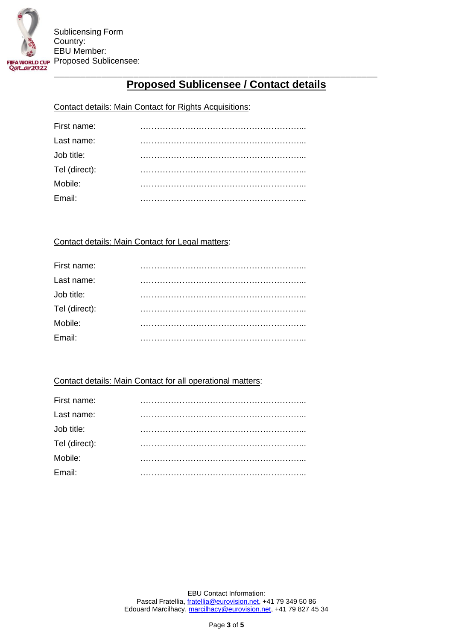

## **Proposed Sublicensee / Contact details**

#### Contact details: Main Contact for Rights Acquisitions:

| First name:   |  |
|---------------|--|
| Last name:    |  |
| Job title:    |  |
| Tel (direct): |  |
| Mobile:       |  |
| Email:        |  |
|               |  |

#### Contact details: Main Contact for Legal matters:

| First name:   |  |
|---------------|--|
| Last name:    |  |
| Job title:    |  |
| Tel (direct): |  |
| Mobile:       |  |
| Email:        |  |

#### Contact details: Main Contact for all operational matters: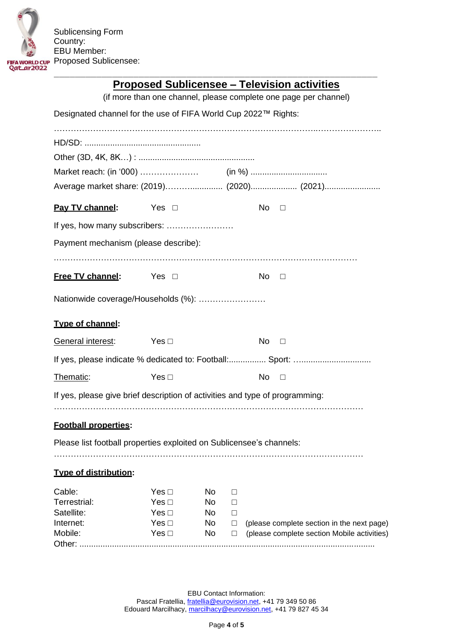

## **Proposed Sublicensee – Television activities**

|                                                                              |                          |          |             |           | (if more than one channel, please complete one page per channel)                          |  |
|------------------------------------------------------------------------------|--------------------------|----------|-------------|-----------|-------------------------------------------------------------------------------------------|--|
| Designated channel for the use of FIFA World Cup 2022™ Rights:               |                          |          |             |           |                                                                                           |  |
|                                                                              |                          |          |             |           |                                                                                           |  |
|                                                                              |                          |          |             |           |                                                                                           |  |
|                                                                              |                          |          |             |           |                                                                                           |  |
|                                                                              |                          |          |             |           |                                                                                           |  |
|                                                                              |                          |          |             |           | Average market share: (2019) (2020) (2021)                                                |  |
| Pay TV channel:                                                              | Yes $\Box$               |          |             | No.       | $\Box$                                                                                    |  |
| If yes, how many subscribers:                                                |                          |          |             |           |                                                                                           |  |
| Payment mechanism (please describe):                                         |                          |          |             |           |                                                                                           |  |
|                                                                              |                          |          |             |           |                                                                                           |  |
| Free TV channel: Yes □                                                       |                          |          |             | No        | $\Box$                                                                                    |  |
|                                                                              |                          |          |             |           |                                                                                           |  |
| Nationwide coverage/Households (%):                                          |                          |          |             |           |                                                                                           |  |
|                                                                              |                          |          |             |           |                                                                                           |  |
| Type of channel:                                                             |                          |          |             |           |                                                                                           |  |
| General interest:                                                            | Yes $\Box$               |          |             | <b>No</b> | $\Box$                                                                                    |  |
|                                                                              |                          |          |             |           |                                                                                           |  |
| Thematic:                                                                    | Yes $\Box$               |          |             | No        | $\Box$                                                                                    |  |
| If yes, please give brief description of activities and type of programming: |                          |          |             |           |                                                                                           |  |
|                                                                              |                          |          |             |           |                                                                                           |  |
| <b>Football properties:</b>                                                  |                          |          |             |           |                                                                                           |  |
| Please list football properties exploited on Sublicensee's channels:         |                          |          |             |           |                                                                                           |  |
|                                                                              |                          |          |             |           |                                                                                           |  |
| <b>Type of distribution:</b>                                                 |                          |          |             |           |                                                                                           |  |
| Cable:                                                                       | Yes $\Box$               | No       | □           |           |                                                                                           |  |
| Terrestrial:                                                                 | Yes $\Box$               | No       | □           |           |                                                                                           |  |
| Satellite:                                                                   | Yes $\Box$<br>Yes $\Box$ | No.      | □           |           |                                                                                           |  |
| Internet:<br>Mobile:                                                         | Yes $\Box$               | No<br>No | $\Box$<br>□ |           | (please complete section in the next page)<br>(please complete section Mobile activities) |  |
| Other:                                                                       |                          |          |             |           |                                                                                           |  |